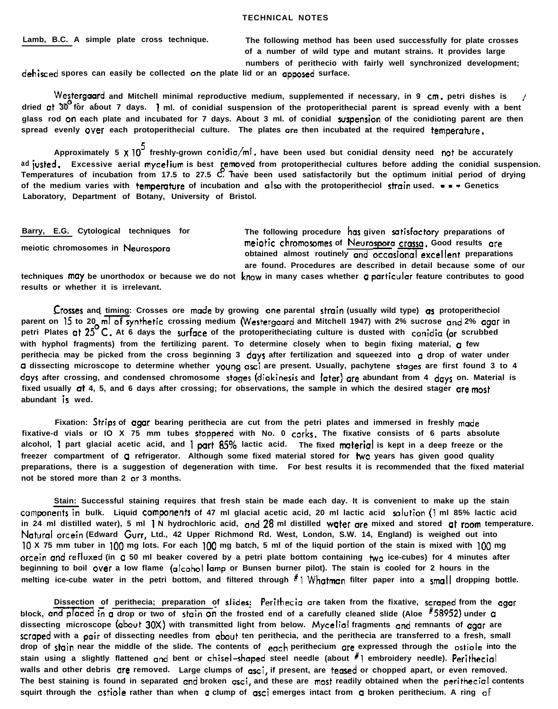**Barry, E.G. Cytological techniques for**

**meiotic chromosomes in Neurospom**

**The following procedure has given satirfoctory preparations of m&tic chromoramer of Neurorpora craw. Good results ore obtained almost routinely and occasional excellent preparations are found. Procedures are described in detail because some of our**

**techniques mtly be unorthodox or because we do not krow in many cases whether Q particular feature contributes to good results or whether it is irrelevant.**

**Crosser and timing: Crosses ore made by growing one parental strain (usually wild type) ar protoperitheciol -**  parent on 15 to 20 ml of synthetic crossing medium (Westergaard and Mitchell 1947) with 2% sucrose and 2% agar in **petri Plates at 25OC. At 6 days the surface of the protoperitheciating culture is dusted with conidia (or scrubbed with hyphol fragments) from the fertilizing parent. To determine closely when to begin fixing material, a few** perithecia may be picked from the cross beginning 3 days after fertilization and squeezed into a drop of water under **a** dissecting microscope to determine whether young asci are present. Usually, pachytene stages are first found 3 to 4 **days after crossing, and condensed chromosome stager (diokinesis and Ioter) are abundant from 4 days on. Material is fixed usually ot 4, 5, and 6 days after crossing; for observations, the sample in which the desired stager are most abundant is wed.**

**Fixation: Strips of agar bearing perithecia are cut from the petri plates and immersed in freshly made fixative-d vials or IO X 75 mm tubes stoppered with No. 0 corks. The fixative consists of 6 parts absolute alcohol, I part glacial acetic acid, and <sup>I</sup> part 85% lactic acid. The fixed nxlterial is kept in a deep freeze or the freezer compartment of 0 refrigerator. Although some fixed material stored for two years has given good quality preparations, there is a suggestion of degeneration with time. For best results it is recommended that the fixed material not be stored more than 2 or 3 months.**

**Stain: Successful staining requires that fresh stain be made each day. It is convenient to make up the stain** components in bulk. Liquid components of 47 ml glacial acetic acid, 20 ml lactic acid solution (1 ml 85% lactic acid **in 24 ml distilled water), 5 ml I N hydrochloric acid, and 28 ml distilled water ore mixed and stored at mom temperature. Natural orcein (Edward Gurr, Ltd., 42 Upper Richmond Rd. West, London, S.W. 14, England) is weighed out into 10 X 75 mm tuber in 100 mg lots. For each 100 mg batch, 5 ml of the liquid portion of the stain is mixed with 100 mg orcein and refluxed (in a 50 ml beaker covered by a petri plate bottom containing two ice-cubes) for 4 minutes after beginning to boil over a low flame (alcohol lamp or Bunsen burner pilot). The stain is cooled for 2 hours in the melting ice-cube water in the petri bottom, and filtered through #I Whotmon filter paper into a small dropping bottle.**

**Dissection of perithecia; preparation of slides: Perithecio are taken from the fixative, scraped from the agor** Dissection of perithecia; preparation of slides: Perithecia are taken from the fixative, scraped from the block, and placed in a drop or two of stain on the frosted end of a carefully cleaned slide (Aloe <sup>#</sup>58952) under a **dissecting microscope (about 30X) with transmitted light from below. Mycelial fragments and remnants of agar are** scraped with a pair of dissecting needles from about ten perithecia, and the perithecia are transferred to a fresh, small **drop of stain near the middle of the slide. The contents of each perithecium ore expressed through the ostiole into the stain using a slightly flattened and bent or chisel-rhaped steel needle (about "1 embroidery needle). Perithecial** walls and other debris gre removed. Large clumps of gsci, if present, are tegsed or chopped apart, or even removed. The best staining is found in separated and broken asci, and these are most readily obtained when the perithecial contents squirt through the ostiole rather than when g clump of asci emerges intact from g broken perithecium. A ring of